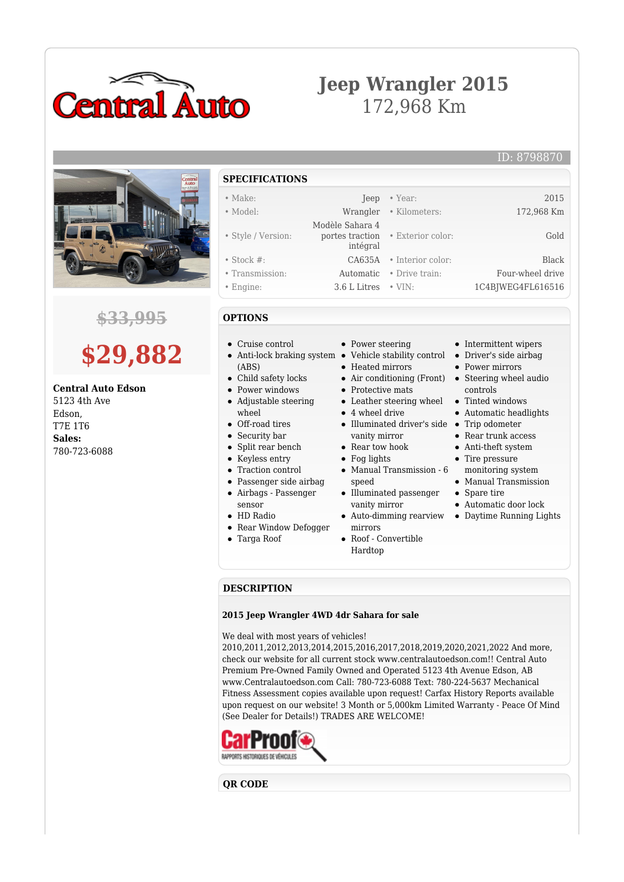

## **Jeep Wrangler 2015** 172,968 Km

ID: 8798870



### **\$33,995**

# **\$29,882**

#### **Central Auto Edson** 5123 4th Ave

Edson, T7E 1T6 **Sales:** 780-723-6088

- **SPECIFICATIONS**
- Make: Jeep Year: 2015 • Model: Wrangler • Kilometers: 172,968 Km
- 
- Style / Version:
- Stock #: CA635A Interior color: Black
- Transmission: Automatic Drive train: Four-wheel drive
- Engine: 3.6 L Litres VIN: 1C4BJWEG4FL616516
- **OPTIONS**
- Cruise control
- Anti-lock braking system Vehicle stability control (ABS)
- Child safety locks
- Power windows
- Adjustable steering wheel
- Off-road tires
- Security bar
- Split rear bench
- Keyless entry
- Traction control
- Passenger side airbag
- Airbags Passenger sensor
- HD Radio
- Rear Window Defogger
- Targa Roof
- Power steering
- 
- Heated mirrors

 Modèle Sahara 4 portes traction intégral

- Air conditioning (Front) Steering wheel audio
- Protective mats
- 
- 4 wheel drive
- Illuminated driver's side Trip odometer vanity mirror
- Rear tow hook
- Fog lights
- Manual Transmission 6 speed
- Illuminated passenger vanity mirror
- mirrors
- Roof Convertible Hardtop
- Intermittent wipers
- Driver's side airbag
- Power mirrors

• Exterior color: Gold

- controls
- Leather steering wheel Tinted windows
	- Automatic headlights
	-
	- Rear trunk access Anti-theft system
	- Tire pressure
	- monitoring system
	- Manual Transmission
	- Spare tire
	- Automatic door lock
- Auto-dimming rearview Daytime Running Lights
- **DESCRIPTION**

### **2015 Jeep Wrangler 4WD 4dr Sahara for sale**

We deal with most years of vehicles!

2010,2011,2012,2013,2014,2015,2016,2017,2018,2019,2020,2021,2022 And more, check our website for all current stock www.centralautoedson.com!! Central Auto Premium Pre-Owned Family Owned and Operated 5123 4th Avenue Edson, AB www.Centralautoedson.com Call: 780-723-6088 Text: 780-224-5637 Mechanical Fitness Assessment copies available upon request! Carfax History Reports available upon request on our website! 3 Month or 5,000km Limited Warranty - Peace Of Mind (See Dealer for Details!) TRADES ARE WELCOME!



**QR CODE**